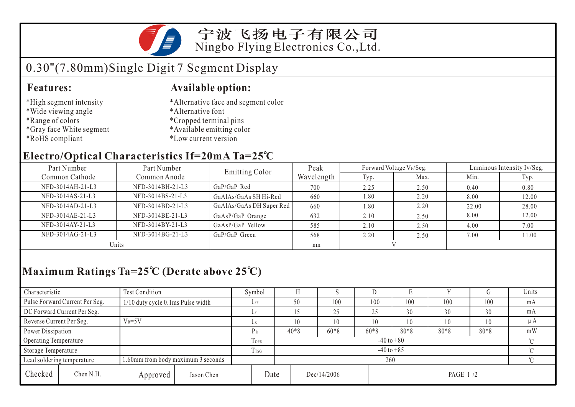

宁波飞扬电子有限公司 Ningbo Flying Electronics Co.,Ltd.

# 0.30"(7.80mm)Single Digit 7 Segment Display

#### **Features: Available option:**

- \*High segment intensity
- \*Wide viewing angle
- \*Range of colors
- \*Gray face White segment
- \*RoHS compliant
- \*Alternative face and segment color
- \*Alternative font
- \*Cropped terminal pins
- \*Available emitting color
- \*Low current version

### **Electro/Optical Characteristics If=20mA Ta=25 C**

| Part Number      | Part Number      | <b>Emitting Color</b>    | Peak       |      | Forward Voltage VF/Seg. | Luminous Intensity Iv/Seg. |       |  |
|------------------|------------------|--------------------------|------------|------|-------------------------|----------------------------|-------|--|
| Common Cathode   | Common Anode     |                          | Wavelength | Typ. | Max.                    | Min.                       | Typ.  |  |
| NFD-3014AH-21-L3 | NFD-3014BH-21-L3 | GaP/GaP Red              | 700        | 2.25 | 2.50                    | 0.40                       | 0.80  |  |
| NFD-3014AS-21-L3 | NFD-3014BS-21-L3 | GaAlAs/GaAs SH Hi-Red    | 660        | 1.80 | 2.20                    | 8.00                       | 12.00 |  |
| NFD-3014AD-21-L3 | NFD-3014BD-21-L3 | GaAlAs/GaAs DH Super Red | 660        | 1.80 | 2.20                    | 22.00                      | 28.00 |  |
| NFD-3014AE-21-L3 | NFD-3014BE-21-L3 | GaAsP/GaP Orange         | 632        | 2.10 | 2.50                    | 8.00                       | 12.00 |  |
| NFD-3014AY-21-L3 | NFD-3014BY-21-L3 | GaAsP/GaP Yellow         | 585        | 2.10 | 2.50                    | 4.00                       | 7.00  |  |
| NFD-3014AG-21-L3 | NFD-3014BG-21-L3 | GaP/GaP Green            | 568        | 2.20 | 2.50                    | 7.00                       | 11.00 |  |
| Units            |                  |                          | nm         |      |                         |                            |       |  |

## **Maximum Ratings Ta=25 C (Derate above 25 C)**

| Characteristic              |                                                                  | Test Condition                    |                  |                          | Symbol         |     |             | ×.     |        | Е        |        |        | Units   |  |
|-----------------------------|------------------------------------------------------------------|-----------------------------------|------------------|--------------------------|----------------|-----|-------------|--------|--------|----------|--------|--------|---------|--|
|                             | Pulse Forward Current Per Seg.                                   | 1/10 duty cycle 0.1ms Pulse width |                  |                          | $1$ FP         |     | 50          | 100    | 100    | 100      | 100    | 100    | mA      |  |
| DC Forward Current Per Seg. |                                                                  |                                   |                  |                          |                |     | 25          | 25     | 30     | 30       | 30     | mA     |         |  |
| Reverse Current Per Seg.    |                                                                  | $V_R = 5V$                        |                  |                          | 1 R            |     | 10          | 10     | 10     | 10       | 10     | 10     | $\mu A$ |  |
| Power Dissipation           |                                                                  |                                   |                  | P <sub>D</sub>           | 40*8           |     | $60*8$      | $60*8$ | $80*8$ | $80*8$   | $80*8$ | mW     |         |  |
| Operating Temperature       |                                                                  |                                   |                  | <b>TOPR</b>              | $-40$ to $+80$ |     |             |        |        |          |        | $\sim$ |         |  |
| Storage Temperature         |                                                                  |                                   | T <sub>TSG</sub> | $-40$ to $+85$<br>$\sim$ |                |     |             |        |        |          |        |        |         |  |
|                             | 1.60mm from body maximum 3 seconds<br>Lead soldering temperature |                                   |                  |                          |                | 260 |             |        |        |          |        |        |         |  |
| Checked                     | Chen N.H.                                                        |                                   | Approved         | Jason Chen               | Date           |     | Dec/14/2006 |        |        | PAGE 1/2 |        |        |         |  |